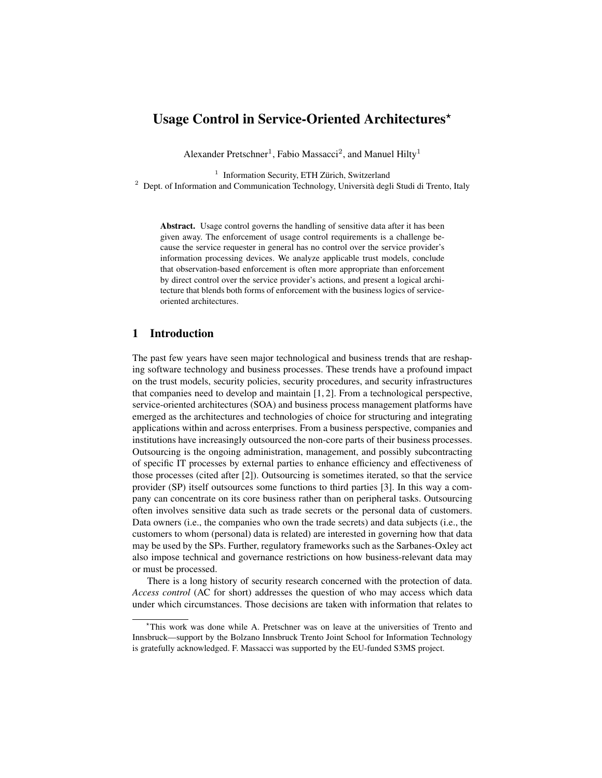# Usage Control in Service-Oriented Architectures<sup>\*</sup>

Alexander Pretschner<sup>1</sup>, Fabio Massacci<sup>2</sup>, and Manuel Hilty<sup>1</sup>

<sup>1</sup> Information Security, ETH Zürich, Switzerland

 $2$  Dept. of Information and Communication Technology, Università degli Studi di Trento, Italy

Abstract. Usage control governs the handling of sensitive data after it has been given away. The enforcement of usage control requirements is a challenge because the service requester in general has no control over the service provider's information processing devices. We analyze applicable trust models, conclude that observation-based enforcement is often more appropriate than enforcement by direct control over the service provider's actions, and present a logical architecture that blends both forms of enforcement with the business logics of serviceoriented architectures.

#### 1 Introduction

The past few years have seen major technological and business trends that are reshaping software technology and business processes. These trends have a profound impact on the trust models, security policies, security procedures, and security infrastructures that companies need to develop and maintain [1, 2]. From a technological perspective, service-oriented architectures (SOA) and business process management platforms have emerged as the architectures and technologies of choice for structuring and integrating applications within and across enterprises. From a business perspective, companies and institutions have increasingly outsourced the non-core parts of their business processes. Outsourcing is the ongoing administration, management, and possibly subcontracting of specific IT processes by external parties to enhance efficiency and effectiveness of those processes (cited after [2]). Outsourcing is sometimes iterated, so that the service provider (SP) itself outsources some functions to third parties [3]. In this way a company can concentrate on its core business rather than on peripheral tasks. Outsourcing often involves sensitive data such as trade secrets or the personal data of customers. Data owners (i.e., the companies who own the trade secrets) and data subjects (i.e., the customers to whom (personal) data is related) are interested in governing how that data may be used by the SPs. Further, regulatory frameworks such as the Sarbanes-Oxley act also impose technical and governance restrictions on how business-relevant data may or must be processed.

There is a long history of security research concerned with the protection of data. *Access control* (AC for short) addresses the question of who may access which data under which circumstances. Those decisions are taken with information that relates to

<sup>?</sup>This work was done while A. Pretschner was on leave at the universities of Trento and Innsbruck—support by the Bolzano Innsbruck Trento Joint School for Information Technology is gratefully acknowledged. F. Massacci was supported by the EU-funded S3MS project.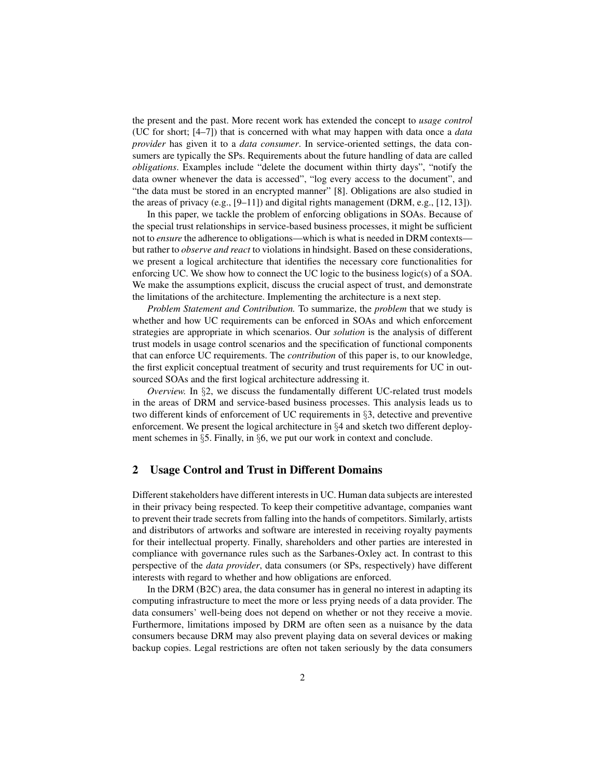the present and the past. More recent work has extended the concept to *usage control* (UC for short; [4–7]) that is concerned with what may happen with data once a *data provider* has given it to a *data consumer*. In service-oriented settings, the data consumers are typically the SPs. Requirements about the future handling of data are called *obligations*. Examples include "delete the document within thirty days", "notify the data owner whenever the data is accessed", "log every access to the document", and "the data must be stored in an encrypted manner" [8]. Obligations are also studied in the areas of privacy (e.g.,  $[9-11]$ ) and digital rights management (DRM, e.g.,  $[12, 13]$ ).

In this paper, we tackle the problem of enforcing obligations in SOAs. Because of the special trust relationships in service-based business processes, it might be sufficient not to *ensure* the adherence to obligations—which is what is needed in DRM contexts but rather to *observe and react* to violations in hindsight. Based on these considerations, we present a logical architecture that identifies the necessary core functionalities for enforcing UC. We show how to connect the UC logic to the business logic(s) of a SOA. We make the assumptions explicit, discuss the crucial aspect of trust, and demonstrate the limitations of the architecture. Implementing the architecture is a next step.

*Problem Statement and Contribution.* To summarize, the *problem* that we study is whether and how UC requirements can be enforced in SOAs and which enforcement strategies are appropriate in which scenarios. Our *solution* is the analysis of different trust models in usage control scenarios and the specification of functional components that can enforce UC requirements. The *contribution* of this paper is, to our knowledge, the first explicit conceptual treatment of security and trust requirements for UC in outsourced SOAs and the first logical architecture addressing it.

*Overview.* In §2, we discuss the fundamentally different UC-related trust models in the areas of DRM and service-based business processes. This analysis leads us to two different kinds of enforcement of UC requirements in §3, detective and preventive enforcement. We present the logical architecture in §4 and sketch two different deployment schemes in §5. Finally, in §6, we put our work in context and conclude.

## 2 Usage Control and Trust in Different Domains

Different stakeholders have different interests in UC. Human data subjects are interested in their privacy being respected. To keep their competitive advantage, companies want to prevent their trade secrets from falling into the hands of competitors. Similarly, artists and distributors of artworks and software are interested in receiving royalty payments for their intellectual property. Finally, shareholders and other parties are interested in compliance with governance rules such as the Sarbanes-Oxley act. In contrast to this perspective of the *data provider*, data consumers (or SPs, respectively) have different interests with regard to whether and how obligations are enforced.

In the DRM (B2C) area, the data consumer has in general no interest in adapting its computing infrastructure to meet the more or less prying needs of a data provider. The data consumers' well-being does not depend on whether or not they receive a movie. Furthermore, limitations imposed by DRM are often seen as a nuisance by the data consumers because DRM may also prevent playing data on several devices or making backup copies. Legal restrictions are often not taken seriously by the data consumers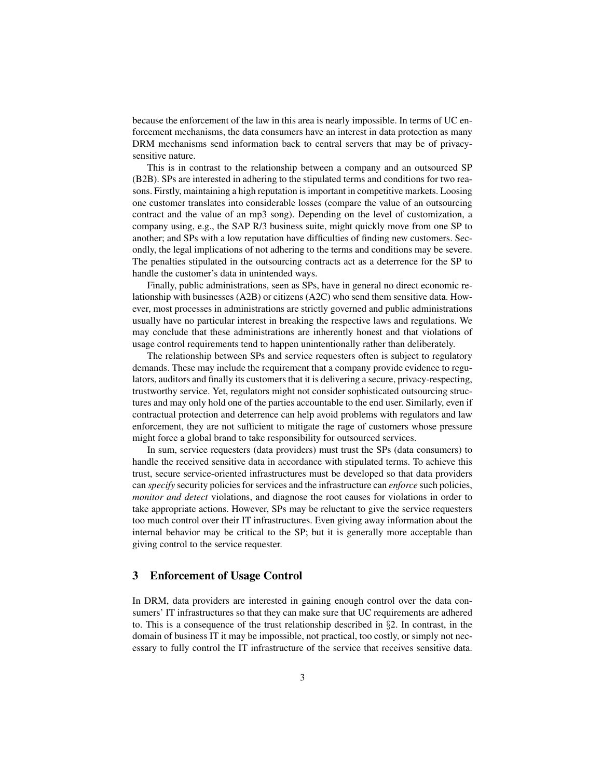because the enforcement of the law in this area is nearly impossible. In terms of UC enforcement mechanisms, the data consumers have an interest in data protection as many DRM mechanisms send information back to central servers that may be of privacysensitive nature.

This is in contrast to the relationship between a company and an outsourced SP (B2B). SPs are interested in adhering to the stipulated terms and conditions for two reasons. Firstly, maintaining a high reputation is important in competitive markets. Loosing one customer translates into considerable losses (compare the value of an outsourcing contract and the value of an mp3 song). Depending on the level of customization, a company using, e.g., the SAP R/3 business suite, might quickly move from one SP to another; and SPs with a low reputation have difficulties of finding new customers. Secondly, the legal implications of not adhering to the terms and conditions may be severe. The penalties stipulated in the outsourcing contracts act as a deterrence for the SP to handle the customer's data in unintended ways.

Finally, public administrations, seen as SPs, have in general no direct economic relationship with businesses (A2B) or citizens (A2C) who send them sensitive data. However, most processes in administrations are strictly governed and public administrations usually have no particular interest in breaking the respective laws and regulations. We may conclude that these administrations are inherently honest and that violations of usage control requirements tend to happen unintentionally rather than deliberately.

The relationship between SPs and service requesters often is subject to regulatory demands. These may include the requirement that a company provide evidence to regulators, auditors and finally its customers that it is delivering a secure, privacy-respecting, trustworthy service. Yet, regulators might not consider sophisticated outsourcing structures and may only hold one of the parties accountable to the end user. Similarly, even if contractual protection and deterrence can help avoid problems with regulators and law enforcement, they are not sufficient to mitigate the rage of customers whose pressure might force a global brand to take responsibility for outsourced services.

In sum, service requesters (data providers) must trust the SPs (data consumers) to handle the received sensitive data in accordance with stipulated terms. To achieve this trust, secure service-oriented infrastructures must be developed so that data providers can *specify* security policies for services and the infrastructure can *enforce* such policies, *monitor and detect* violations, and diagnose the root causes for violations in order to take appropriate actions. However, SPs may be reluctant to give the service requesters too much control over their IT infrastructures. Even giving away information about the internal behavior may be critical to the SP; but it is generally more acceptable than giving control to the service requester.

## 3 Enforcement of Usage Control

In DRM, data providers are interested in gaining enough control over the data consumers' IT infrastructures so that they can make sure that UC requirements are adhered to. This is a consequence of the trust relationship described in §2. In contrast, in the domain of business IT it may be impossible, not practical, too costly, or simply not necessary to fully control the IT infrastructure of the service that receives sensitive data.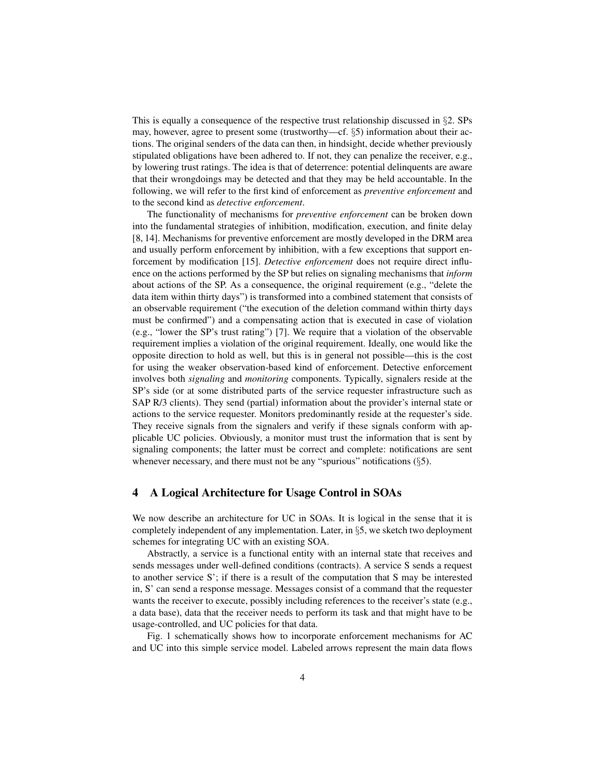This is equally a consequence of the respective trust relationship discussed in  $\S2$ . SPs may, however, agree to present some (trustworthy—cf.  $\S$ 5) information about their actions. The original senders of the data can then, in hindsight, decide whether previously stipulated obligations have been adhered to. If not, they can penalize the receiver, e.g., by lowering trust ratings. The idea is that of deterrence: potential delinquents are aware that their wrongdoings may be detected and that they may be held accountable. In the following, we will refer to the first kind of enforcement as *preventive enforcement* and to the second kind as *detective enforcement*.

The functionality of mechanisms for *preventive enforcement* can be broken down into the fundamental strategies of inhibition, modification, execution, and finite delay [8, 14]. Mechanisms for preventive enforcement are mostly developed in the DRM area and usually perform enforcement by inhibition, with a few exceptions that support enforcement by modification [15]. *Detective enforcement* does not require direct influence on the actions performed by the SP but relies on signaling mechanisms that *inform* about actions of the SP. As a consequence, the original requirement (e.g., "delete the data item within thirty days") is transformed into a combined statement that consists of an observable requirement ("the execution of the deletion command within thirty days must be confirmed") and a compensating action that is executed in case of violation (e.g., "lower the SP's trust rating") [7]. We require that a violation of the observable requirement implies a violation of the original requirement. Ideally, one would like the opposite direction to hold as well, but this is in general not possible—this is the cost for using the weaker observation-based kind of enforcement. Detective enforcement involves both *signaling* and *monitoring* components. Typically, signalers reside at the SP's side (or at some distributed parts of the service requester infrastructure such as SAP R/3 clients). They send (partial) information about the provider's internal state or actions to the service requester. Monitors predominantly reside at the requester's side. They receive signals from the signalers and verify if these signals conform with applicable UC policies. Obviously, a monitor must trust the information that is sent by signaling components; the latter must be correct and complete: notifications are sent whenever necessary, and there must not be any "spurious" notifications (§5).

## 4 A Logical Architecture for Usage Control in SOAs

We now describe an architecture for UC in SOAs. It is logical in the sense that it is completely independent of any implementation. Later, in §5, we sketch two deployment schemes for integrating UC with an existing SOA.

Abstractly, a service is a functional entity with an internal state that receives and sends messages under well-defined conditions (contracts). A service S sends a request to another service S'; if there is a result of the computation that S may be interested in, S' can send a response message. Messages consist of a command that the requester wants the receiver to execute, possibly including references to the receiver's state (e.g., a data base), data that the receiver needs to perform its task and that might have to be usage-controlled, and UC policies for that data.

Fig. 1 schematically shows how to incorporate enforcement mechanisms for AC and UC into this simple service model. Labeled arrows represent the main data flows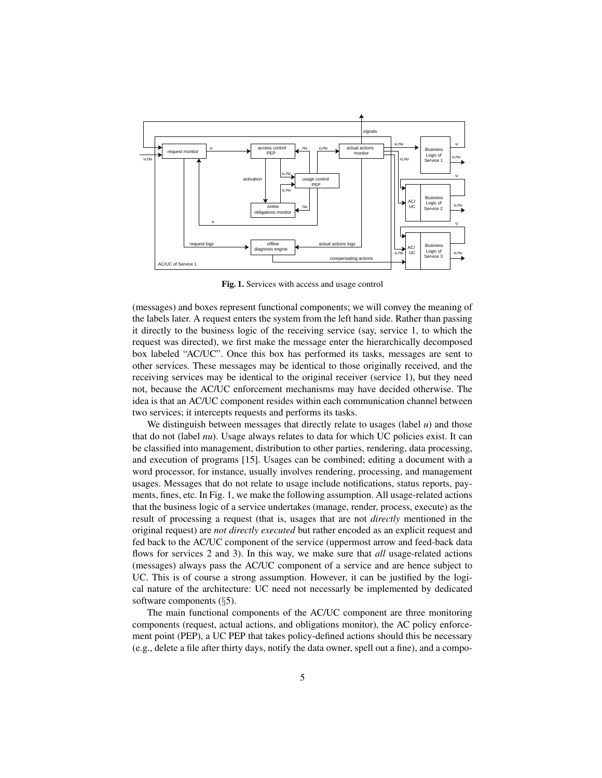

Fig. 1. Services with access and usage control

(messages) and boxes represent functional components; we will convey the meaning of the labels later. A request enters the system from the left hand side. Rather than passing it directly to the business logic of the receiving service (say, service 1, to which the request was directed), we first make the message enter the hierarchically decomposed box labeled "AC/UC". Once this box has performed its tasks, messages are sent to other services. These messages may be identical to those originally received, and the receiving services may be identical to the original receiver (service 1), but they need not, because the AC/UC enforcement mechanisms may have decided otherwise. The idea is that an AC/UC component resides within each communication channel between two services; it intercepts requests and performs its tasks.

We distinguish between messages that directly relate to usages (label *u*) and those that do not (label *nu*). Usage always relates to data for which UC policies exist. It can be classified into management, distribution to other parties, rendering, data processing, and execution of programs [15]. Usages can be combined; editing a document with a word processor, for instance, usually involves rendering, processing, and management usages. Messages that do not relate to usage include notifications, status reports, payments, fines, etc. In Fig. 1, we make the following assumption. All usage-related actions that the business logic of a service undertakes (manage, render, process, execute) as the result of processing a request (that is, usages that are not *directly* mentioned in the original request) are *not directly executed* but rather encoded as an explicit request and fed back to the AC/UC component of the service (uppermost arrow and feed-back data flows for services 2 and 3). In this way, we make sure that *all* usage-related actions (messages) always pass the AC/UC component of a service and are hence subject to UC. This is of course a strong assumption. However, it can be justified by the logical nature of the architecture: UC need not necessarly be implemented by dedicated software components (§5).

The main functional components of the AC/UC component are three monitoring components (request, actual actions, and obligations monitor), the AC policy enforcement point (PEP), a UC PEP that takes policy-defined actions should this be necessary (e.g., delete a file after thirty days, notify the data owner, spell out a fine), and a compo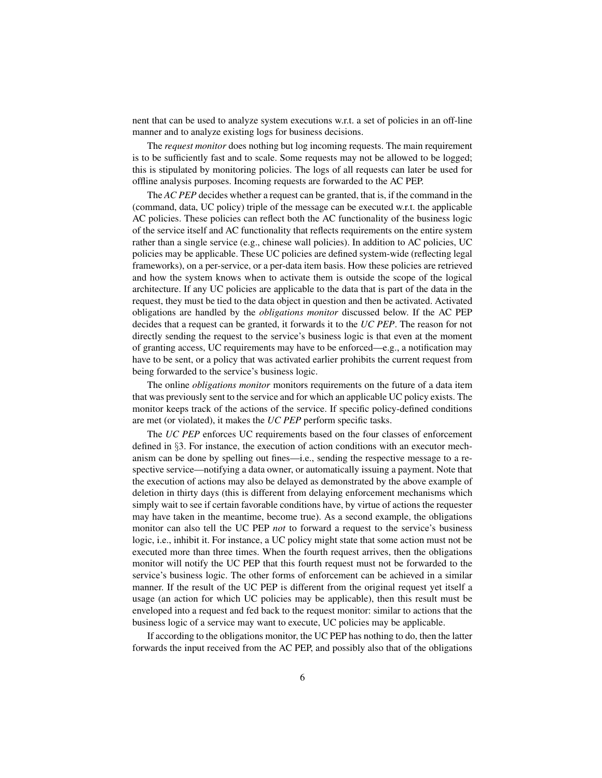nent that can be used to analyze system executions w.r.t. a set of policies in an off-line manner and to analyze existing logs for business decisions.

The *request monitor* does nothing but log incoming requests. The main requirement is to be sufficiently fast and to scale. Some requests may not be allowed to be logged; this is stipulated by monitoring policies. The logs of all requests can later be used for offline analysis purposes. Incoming requests are forwarded to the AC PEP.

The *AC PEP* decides whether a request can be granted, that is, if the command in the (command, data, UC policy) triple of the message can be executed w.r.t. the applicable AC policies. These policies can reflect both the AC functionality of the business logic of the service itself and AC functionality that reflects requirements on the entire system rather than a single service (e.g., chinese wall policies). In addition to AC policies, UC policies may be applicable. These UC policies are defined system-wide (reflecting legal frameworks), on a per-service, or a per-data item basis. How these policies are retrieved and how the system knows when to activate them is outside the scope of the logical architecture. If any UC policies are applicable to the data that is part of the data in the request, they must be tied to the data object in question and then be activated. Activated obligations are handled by the *obligations monitor* discussed below. If the AC PEP decides that a request can be granted, it forwards it to the *UC PEP*. The reason for not directly sending the request to the service's business logic is that even at the moment of granting access, UC requirements may have to be enforced—e.g., a notification may have to be sent, or a policy that was activated earlier prohibits the current request from being forwarded to the service's business logic.

The online *obligations monitor* monitors requirements on the future of a data item that was previously sent to the service and for which an applicable UC policy exists. The monitor keeps track of the actions of the service. If specific policy-defined conditions are met (or violated), it makes the *UC PEP* perform specific tasks.

The *UC PEP* enforces UC requirements based on the four classes of enforcement defined in §3. For instance, the execution of action conditions with an executor mechanism can be done by spelling out fines—i.e., sending the respective message to a respective service—notifying a data owner, or automatically issuing a payment. Note that the execution of actions may also be delayed as demonstrated by the above example of deletion in thirty days (this is different from delaying enforcement mechanisms which simply wait to see if certain favorable conditions have, by virtue of actions the requester may have taken in the meantime, become true). As a second example, the obligations monitor can also tell the UC PEP *not* to forward a request to the service's business logic, i.e., inhibit it. For instance, a UC policy might state that some action must not be executed more than three times. When the fourth request arrives, then the obligations monitor will notify the UC PEP that this fourth request must not be forwarded to the service's business logic. The other forms of enforcement can be achieved in a similar manner. If the result of the UC PEP is different from the original request yet itself a usage (an action for which UC policies may be applicable), then this result must be enveloped into a request and fed back to the request monitor: similar to actions that the business logic of a service may want to execute, UC policies may be applicable.

If according to the obligations monitor, the UC PEP has nothing to do, then the latter forwards the input received from the AC PEP, and possibly also that of the obligations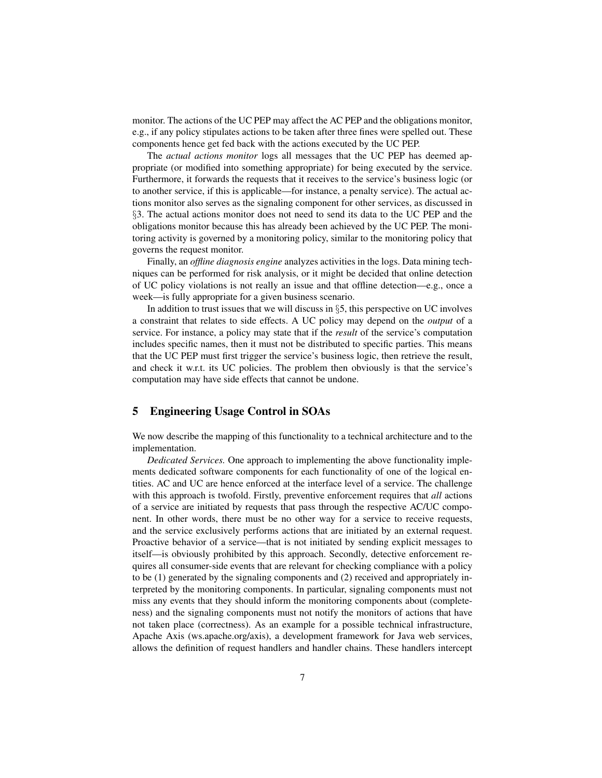monitor. The actions of the UC PEP may affect the AC PEP and the obligations monitor, e.g., if any policy stipulates actions to be taken after three fines were spelled out. These components hence get fed back with the actions executed by the UC PEP.

The *actual actions monitor* logs all messages that the UC PEP has deemed appropriate (or modified into something appropriate) for being executed by the service. Furthermore, it forwards the requests that it receives to the service's business logic (or to another service, if this is applicable—for instance, a penalty service). The actual actions monitor also serves as the signaling component for other services, as discussed in §3. The actual actions monitor does not need to send its data to the UC PEP and the obligations monitor because this has already been achieved by the UC PEP. The monitoring activity is governed by a monitoring policy, similar to the monitoring policy that governs the request monitor.

Finally, an *offline diagnosis engine* analyzes activities in the logs. Data mining techniques can be performed for risk analysis, or it might be decided that online detection of UC policy violations is not really an issue and that offline detection—e.g., once a week—is fully appropriate for a given business scenario.

In addition to trust issues that we will discuss in  $\S$ 5, this perspective on UC involves a constraint that relates to side effects. A UC policy may depend on the *output* of a service. For instance, a policy may state that if the *result* of the service's computation includes specific names, then it must not be distributed to specific parties. This means that the UC PEP must first trigger the service's business logic, then retrieve the result, and check it w.r.t. its UC policies. The problem then obviously is that the service's computation may have side effects that cannot be undone.

# 5 Engineering Usage Control in SOAs

We now describe the mapping of this functionality to a technical architecture and to the implementation.

*Dedicated Services.* One approach to implementing the above functionality implements dedicated software components for each functionality of one of the logical entities. AC and UC are hence enforced at the interface level of a service. The challenge with this approach is twofold. Firstly, preventive enforcement requires that *all* actions of a service are initiated by requests that pass through the respective AC/UC component. In other words, there must be no other way for a service to receive requests, and the service exclusively performs actions that are initiated by an external request. Proactive behavior of a service—that is not initiated by sending explicit messages to itself—is obviously prohibited by this approach. Secondly, detective enforcement requires all consumer-side events that are relevant for checking compliance with a policy to be (1) generated by the signaling components and (2) received and appropriately interpreted by the monitoring components. In particular, signaling components must not miss any events that they should inform the monitoring components about (completeness) and the signaling components must not notify the monitors of actions that have not taken place (correctness). As an example for a possible technical infrastructure, Apache Axis (ws.apache.org/axis), a development framework for Java web services, allows the definition of request handlers and handler chains. These handlers intercept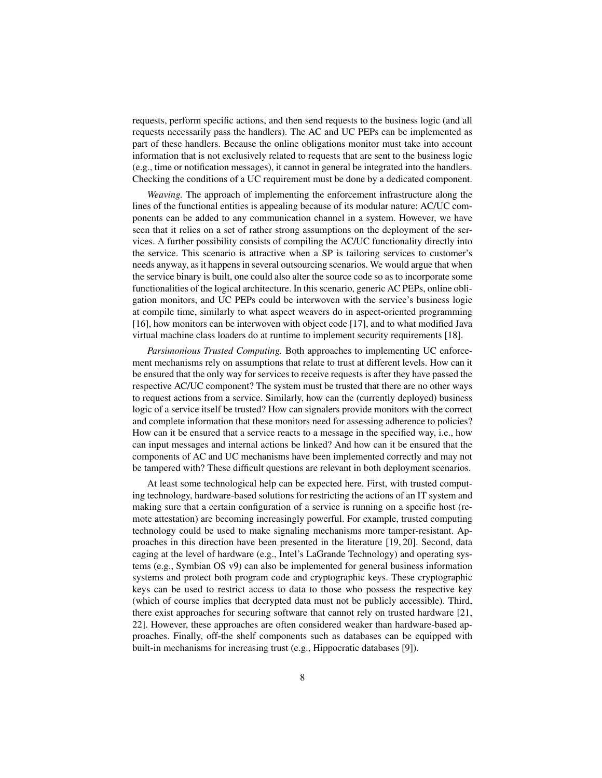requests, perform specific actions, and then send requests to the business logic (and all requests necessarily pass the handlers). The AC and UC PEPs can be implemented as part of these handlers. Because the online obligations monitor must take into account information that is not exclusively related to requests that are sent to the business logic (e.g., time or notification messages), it cannot in general be integrated into the handlers. Checking the conditions of a UC requirement must be done by a dedicated component.

*Weaving.* The approach of implementing the enforcement infrastructure along the lines of the functional entities is appealing because of its modular nature: AC/UC components can be added to any communication channel in a system. However, we have seen that it relies on a set of rather strong assumptions on the deployment of the services. A further possibility consists of compiling the AC/UC functionality directly into the service. This scenario is attractive when a SP is tailoring services to customer's needs anyway, as it happens in several outsourcing scenarios. We would argue that when the service binary is built, one could also alter the source code so as to incorporate some functionalities of the logical architecture. In this scenario, generic AC PEPs, online obligation monitors, and UC PEPs could be interwoven with the service's business logic at compile time, similarly to what aspect weavers do in aspect-oriented programming [16], how monitors can be interwoven with object code [17], and to what modified Java virtual machine class loaders do at runtime to implement security requirements [18].

*Parsimonious Trusted Computing.* Both approaches to implementing UC enforcement mechanisms rely on assumptions that relate to trust at different levels. How can it be ensured that the only way for services to receive requests is after they have passed the respective AC/UC component? The system must be trusted that there are no other ways to request actions from a service. Similarly, how can the (currently deployed) business logic of a service itself be trusted? How can signalers provide monitors with the correct and complete information that these monitors need for assessing adherence to policies? How can it be ensured that a service reacts to a message in the specified way, i.e., how can input messages and internal actions be linked? And how can it be ensured that the components of AC and UC mechanisms have been implemented correctly and may not be tampered with? These difficult questions are relevant in both deployment scenarios.

At least some technological help can be expected here. First, with trusted computing technology, hardware-based solutions for restricting the actions of an IT system and making sure that a certain configuration of a service is running on a specific host (remote attestation) are becoming increasingly powerful. For example, trusted computing technology could be used to make signaling mechanisms more tamper-resistant. Approaches in this direction have been presented in the literature [19, 20]. Second, data caging at the level of hardware (e.g., Intel's LaGrande Technology) and operating systems (e.g., Symbian OS v9) can also be implemented for general business information systems and protect both program code and cryptographic keys. These cryptographic keys can be used to restrict access to data to those who possess the respective key (which of course implies that decrypted data must not be publicly accessible). Third, there exist approaches for securing software that cannot rely on trusted hardware [21, 22]. However, these approaches are often considered weaker than hardware-based approaches. Finally, off-the shelf components such as databases can be equipped with built-in mechanisms for increasing trust (e.g., Hippocratic databases [9]).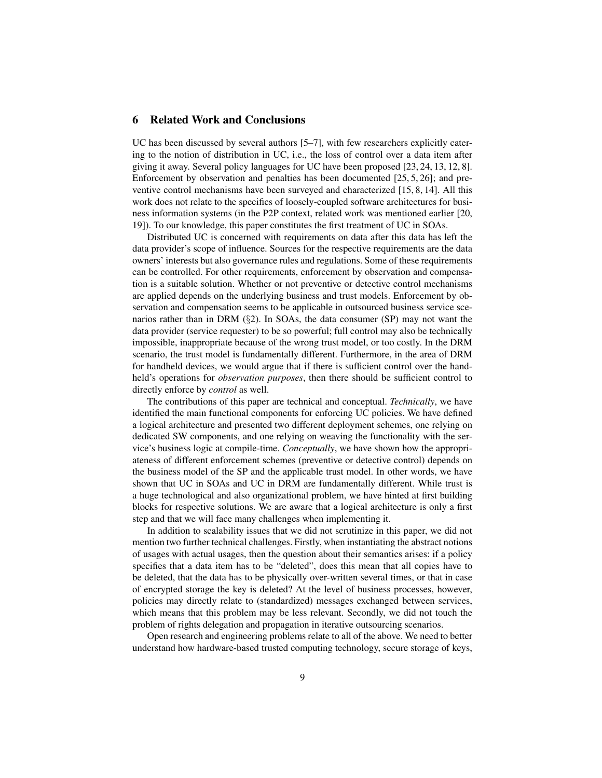# 6 Related Work and Conclusions

UC has been discussed by several authors [5–7], with few researchers explicitly catering to the notion of distribution in UC, i.e., the loss of control over a data item after giving it away. Several policy languages for UC have been proposed [23, 24, 13, 12, 8]. Enforcement by observation and penalties has been documented [25, 5, 26]; and preventive control mechanisms have been surveyed and characterized [15, 8, 14]. All this work does not relate to the specifics of loosely-coupled software architectures for business information systems (in the P2P context, related work was mentioned earlier [20, 19]). To our knowledge, this paper constitutes the first treatment of UC in SOAs.

Distributed UC is concerned with requirements on data after this data has left the data provider's scope of influence. Sources for the respective requirements are the data owners' interests but also governance rules and regulations. Some of these requirements can be controlled. For other requirements, enforcement by observation and compensation is a suitable solution. Whether or not preventive or detective control mechanisms are applied depends on the underlying business and trust models. Enforcement by observation and compensation seems to be applicable in outsourced business service scenarios rather than in DRM (§2). In SOAs, the data consumer (SP) may not want the data provider (service requester) to be so powerful; full control may also be technically impossible, inappropriate because of the wrong trust model, or too costly. In the DRM scenario, the trust model is fundamentally different. Furthermore, in the area of DRM for handheld devices, we would argue that if there is sufficient control over the handheld's operations for *observation purposes*, then there should be sufficient control to directly enforce by *control* as well.

The contributions of this paper are technical and conceptual. *Technically*, we have identified the main functional components for enforcing UC policies. We have defined a logical architecture and presented two different deployment schemes, one relying on dedicated SW components, and one relying on weaving the functionality with the service's business logic at compile-time. *Conceptually*, we have shown how the appropriateness of different enforcement schemes (preventive or detective control) depends on the business model of the SP and the applicable trust model. In other words, we have shown that UC in SOAs and UC in DRM are fundamentally different. While trust is a huge technological and also organizational problem, we have hinted at first building blocks for respective solutions. We are aware that a logical architecture is only a first step and that we will face many challenges when implementing it.

In addition to scalability issues that we did not scrutinize in this paper, we did not mention two further technical challenges. Firstly, when instantiating the abstract notions of usages with actual usages, then the question about their semantics arises: if a policy specifies that a data item has to be "deleted", does this mean that all copies have to be deleted, that the data has to be physically over-written several times, or that in case of encrypted storage the key is deleted? At the level of business processes, however, policies may directly relate to (standardized) messages exchanged between services, which means that this problem may be less relevant. Secondly, we did not touch the problem of rights delegation and propagation in iterative outsourcing scenarios.

Open research and engineering problems relate to all of the above. We need to better understand how hardware-based trusted computing technology, secure storage of keys,